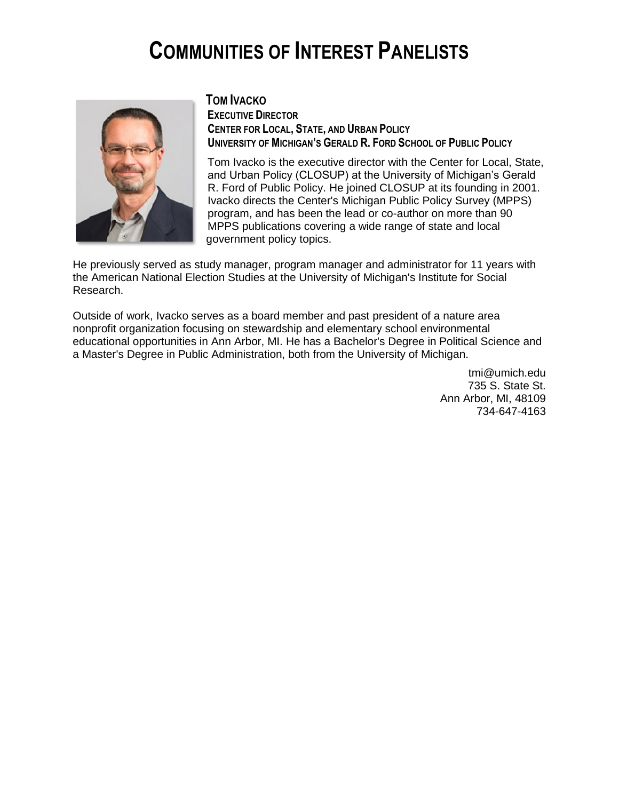# **COMMUNITIES OF INTEREST PANELISTS**



### **TOM IVACKO**

**EXECUTIVE DIRECTOR CENTER FOR LOCAL, STATE, AND URBAN POLICY UNIVERSITY OF MICHIGAN'S GERALD R. FORD SCHOOL OF PUBLIC POLICY**

Tom Ivacko is the executive director with the Center for Local, State, and Urban Policy (CLOSUP) at the University of Michigan's Gerald R. Ford of Public Policy. He joined CLOSUP at its founding in 2001. Ivacko directs the Center's Michigan Public Policy Survey (MPPS) program, and has been the lead or co-author on more than 90 MPPS publications covering a wide range of state and local government policy topics.

He previously served as study manager, program manager and administrator for 11 years with the American National Election Studies at the University of Michigan's Institute for Social Research.

Outside of work, Ivacko serves as a board member and past president of a nature area nonprofit organization focusing on stewardship and elementary school environmental educational opportunities in Ann Arbor, MI. He has a Bachelor's Degree in Political Science and a Master's Degree in Public Administration, both from the University of Michigan.

> [tmi@umich.edu](mailto:tmi@umich.edu) 735 S. State St. Ann Arbor, MI, 48109 [734-647-4163](tel:+1(734)%20647-4163)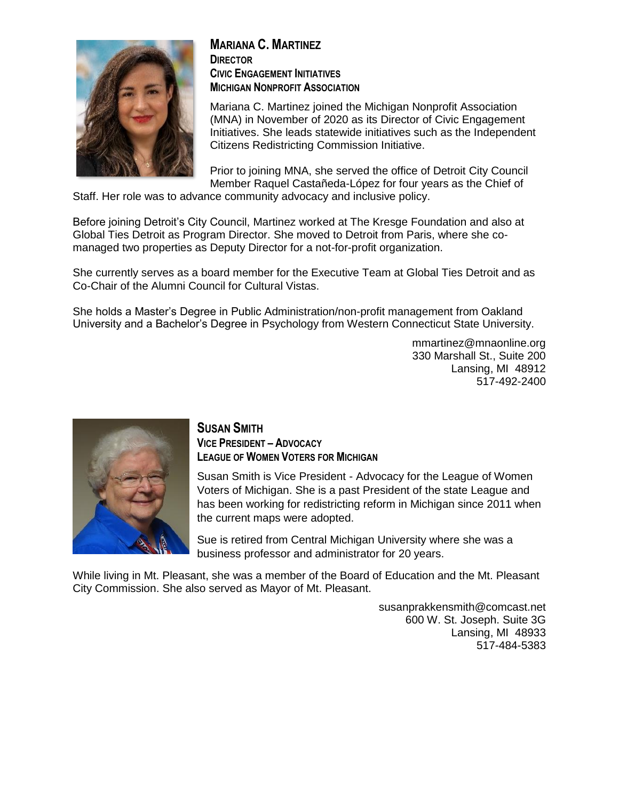

#### **MARIANA C. MARTINEZ DIRECTOR CIVIC ENGAGEMENT INITIATIVES MICHIGAN NONPROFIT ASSOCIATION**

Mariana C. Martinez joined the Michigan Nonprofit Association (MNA) in November of 2020 as its Director of Civic Engagement Initiatives. She leads statewide initiatives such as the Independent Citizens Redistricting Commission Initiative.

Prior to joining MNA, she served the office of Detroit City Council Member Raquel Castañeda-López for four years as the Chief of

Staff. Her role was to advance community advocacy and inclusive policy.

Before joining Detroit's City Council, Martinez worked at The Kresge Foundation and also at Global Ties Detroit as Program Director. She moved to Detroit from Paris, where she comanaged two properties as Deputy Director for a not-for-profit organization.

She currently serves as a board member for the Executive Team at Global Ties Detroit and as Co-Chair of the Alumni Council for Cultural Vistas.

She holds a Master's Degree in Public Administration/non-profit management from Oakland University and a Bachelor's Degree in Psychology from Western Connecticut State University.

> mmartinez@mnaonline.org 330 Marshall St., Suite 200 Lansing, MI 48912 517-492-2400



#### **SUSAN SMITH VICE PRESIDENT – ADVOCACY LEAGUE OF WOMEN VOTERS FOR MICHIGAN**

Susan Smith is Vice President - Advocacy for the League of Women Voters of Michigan. She is a past President of the state League and has been working for redistricting reform in Michigan since 2011 when the current maps were adopted.

Sue is retired from Central Michigan University where she was a business professor and administrator for 20 years.

While living in Mt. Pleasant, she was a member of the Board of Education and the Mt. Pleasant City Commission. She also served as Mayor of Mt. Pleasant.

> [susanprakkensmith@comcast.net](mailto:susanprakkensmith@comcast.net) 600 W. St. Joseph. Suite 3G Lansing, MI 48933 517-484-5383